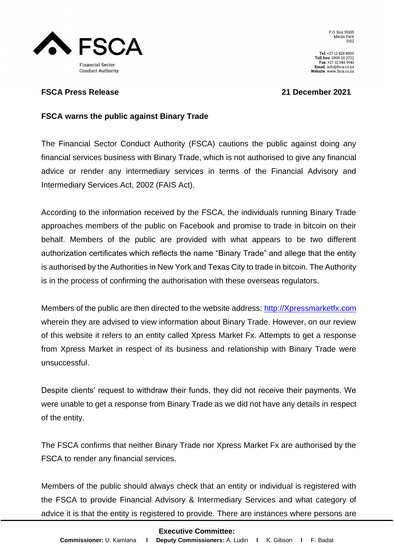

Tel. +27 12 428 8000<br>Toll free. 0800 20 3722 Fax. +27 12 346 6941  $\textbf{Email.}$  info@fsca.co.za Website. www.fsca.co.za

## **FSCA Press Release 21 December 2021**

## **FSCA warns the public against Binary Trade**

The Financial Sector Conduct Authority (FSCA) cautions the public against doing any financial services business with Binary Trade, which is not authorised to give any financial advice or render any intermediary services in terms of the Financial Advisory and Intermediary Services Act, 2002 (FAIS Act).

According to the information received by the FSCA, the individuals running Binary Trade approaches members of the public on Facebook and promise to trade in bitcoin on their behalf. Members of the public are provided with what appears to be two different authorization certificates which reflects the name "Binary Trade" and allege that the entity is authorised by the Authorities in New York and Texas City to trade in bitcoin. The Authority is in the process of confirming the authorisation with these overseas regulators.

Members of the public are then directed to the website address: [http://Xpressmarketfx.com](http://xpressmarketfx.com/) wherein they are advised to view information about Binary Trade. However, on our review of this website it refers to an entity called Xpress Market Fx. Attempts to get a response from Xpress Market in respect of its business and relationship with Binary Trade were unsuccessful.

Despite clients' request to withdraw their funds, they did not receive their payments. We were unable to get a response from Binary Trade as we did not have any details in respect of the entity.

The FSCA confirms that neither Binary Trade nor Xpress Market Fx are authorised by the FSCA to render any financial services.

Members of the public should always check that an entity or individual is registered with the FSCA to provide Financial Advisory & Intermediary Services and what category of advice it is that the entity is registered to provide. There are instances where persons are